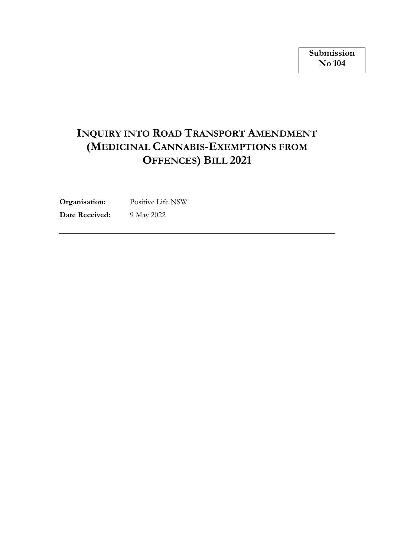# **INQUIRY INTO ROAD TRANSPORT AMENDMENT (MEDICINAL CANNABIS-EXEMPTIONS FROM OFFENCES) BILL 2021**

**Organisation:** Positive Life NSW

**Date Received:** 9 May 2022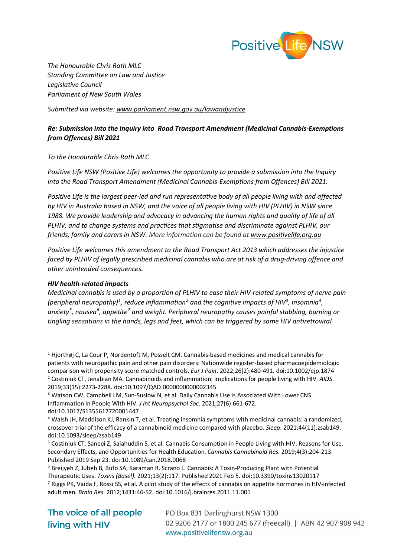

*The Honourable Chris Rath MLC Standing Committee on Law and Justice Legislative Council Parliament of New South Wales*

*Submitted via website: [www.parliament.nsw.gov.au/lawandjustice](https://www.parliament.nsw.gov.au/committees/inquiries/Pages/inquiry-details.aspx?pk=2847#tab-submissions)*

## *Re: Submission into the Inquiry into Road Transport Amendment (Medicinal Cannabis-Exemptions from Offences) Bill 2021*

## *To the Honourable Chris Rath MLC*

*Positive Life NSW (Positive Life) welcomes the opportunity to provide a submission into the Inquiry into the Road Transport Amendment (Medicinal Cannabis-Exemptions from Offences) Bill 2021.*

*Positive Life is the largest peer-led and run representative body of all people living with and affected by HIV in Australia based in NSW, and the voice of all people living with HIV (PLHIV) in NSW since 1988. We provide leadership and advocacy in advancing the human rights and quality of life of all PLHIV, and to change systems and practices that stigmatise and discriminate against PLHIV, our friends, family and carers in NSW. More information can be found at [www.positivelife.org.au](http://www.positivelife.org.au/)*

*Positive Life welcomes this amendment to the Road Transport Act 2013 which addresses the injustice faced by PLHIV of legally prescribed medicinal cannabis who are at risk of a drug-driving offence and other unintended consequences.* 

#### *HIV health-related impacts*

*Medicinal cannabis is used by a proportion of PLHIV to ease their HIV-related symptoms of nerve pain*  (peripheral neuropathy) $^1$  $^1$ , reduce inflammation $^2$  $^2$  and the cognitive impacts of HIV $^3$  $^3$ , insomnia $^4$  $^4$ , *anxiety[5](#page-1-4) , nause[a6](#page-1-5) , appetite[7](#page-1-6) and weight. Peripheral neuropathy causes painful stabbing, burning or tingling sensations in the hands, legs and feet, which can be triggered by some HIV antiretroviral* 

<span id="page-1-0"></span> $1$  Hjorthøj C, La Cour P, Nordentoft M, Posselt CM. Cannabis-based medicines and medical cannabis for patients with neuropathic pain and other pain disorders: Nationwide register-based pharmacoepidemiologic comparison with propensity score matched controls. *Eur J Pain*. 2022;26(2):480-491. doi:10.1002/ejp.1874 <sup>2</sup> Costiniuk CT, Jenabian MA. Cannabinoids and inflammation: implications for people living with HIV. *AIDS*. 2019;33(15):2273-2288. doi:10.1097/QAD.0000000000002345

<span id="page-1-2"></span><span id="page-1-1"></span><sup>&</sup>lt;sup>3</sup> Watson CW, Campbell LM, Sun-Suslow N, et al. Daily Cannabis Use is Associated With Lower CNS Inflammation in People With HIV. *J Int Neuropsychol Soc*. 2021;27(6):661-672. doi:10.1017/S1355617720001447

<span id="page-1-3"></span><sup>4</sup> Walsh JH, Maddison KJ, Rankin T, et al. Treating insomnia symptoms with medicinal cannabis: a randomized, crossover trial of the efficacy of a cannabinoid medicine compared with placebo. *Sleep*. 2021;44(11):zsab149. doi:10.1093/sleep/zsab149

<span id="page-1-4"></span><sup>5</sup> Costiniuk CT, Saneei Z, Salahuddin S, et al. Cannabis Consumption in People Living with HIV: Reasons for Use, Secondary Effects, and Opportunities for Health Education. *Cannabis Cannabinoid Res*. 2019;4(3):204-213. Published 2019 Sep 23. doi:10.1089/can.2018.0068

<span id="page-1-5"></span><sup>6</sup> Breijyeh Z, Jubeh B, Bufo SA, Karaman R, Scrano L. Cannabis: A Toxin-Producing Plant with Potential Therapeutic Uses. *Toxins (Basel)*. 2021;13(2):117. Published 2021 Feb 5. doi:10.3390/toxins13020117

<span id="page-1-6"></span> $<sup>7</sup>$  Riggs PK, Vaida F, Rossi SS, et al. A pilot study of the effects of cannabis on appetite hormones in HIV-infected</sup> adult men. *Brain Res*. 2012;1431:46-52. doi:10.1016/j.brainres.2011.11.001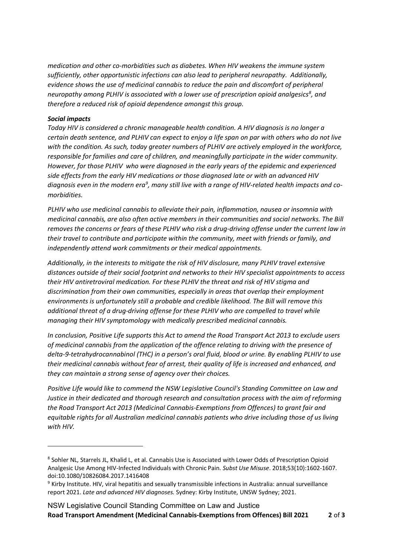*medication and other co-morbidities such as diabetes. When HIV weakens the immune system sufficiently, other opportunistic infections can also lead to peripheral neuropathy. Additionally, evidence shows the use of medicinal cannabis to reduce the pain and discomfort of peripheral neuropathy among PLHIV is associated with a lower use of prescription opioid analgesics[8](#page-2-0) , and therefore a reduced risk of opioid dependence amongst this group.* 

### *Social impacts*

*Today HIV is considered a chronic manageable health condition. A HIV diagnosis is no longer a certain death sentence, and PLHIV can expect to enjoy a life span on par with others who do not live with the condition. As such, today greater numbers of PLHIV are actively employed in the workforce, responsible for families and care of children, and meaningfully participate in the wider community. However, for those PLHIV who were diagnosed in the early years of the epidemic and experienced side effects from the early HIV medications or those diagnosed late or with an advanced HIV diagnosis even in the modern era[9](#page-2-1) , many still live with a range of HIV-related health impacts and comorbidities.* 

*PLHIV who use medicinal cannabis to alleviate their pain, inflammation, nausea or insomnia with medicinal cannabis, are also often active members in their communities and social networks. The Bill removes the concerns or fears of these PLHIV who risk a drug-driving offense under the current law in their travel to contribute and participate within the community, meet with friends or family, and independently attend work commitments or their medical appointments.* 

*Additionally, in the interests to mitigate the risk of HIV disclosure, many PLHIV travel extensive distances outside of their social footprint and networks to their HIV specialist appointments to access their HIV antiretroviral medication. For these PLHIV the threat and risk of HIV stigma and discrimination from their own communities, especially in areas that overlap their employment environments is unfortunately still a probable and credible likelihood. The Bill will remove this additional threat of a drug-driving offense for these PLHIV who are compelled to travel while managing their HIV symptomology with medically prescribed medicinal cannabis.*

*In conclusion, Positive Life supports this Act to amend the Road Transport Act 2013 to exclude users of medicinal cannabis from the application of the offence relating to driving with the presence of delta-9-tetrahydrocannabinol (THC) in a person's oral fluid, blood or urine. By enabling PLHIV to use their medicinal cannabis without fear of arrest, their quality of life is increased and enhanced, and they can maintain a strong sense of agency over their choices.*

*Positive Life would like to commend the NSW Legislative Council's Standing Committee on Law and Justice in their dedicated and thorough research and consultation process with the aim of reforming the Road Transport Act 2013 (Medicinal Cannabis-Exemptions from Offences) to grant fair and equitable rights for all Australian medicinal cannabis patients who drive including those of us living with HIV.* 

<span id="page-2-0"></span><sup>8</sup> Sohler NL, Starrels JL, Khalid L, et al. Cannabis Use is Associated with Lower Odds of Prescription Opioid Analgesic Use Among HIV-Infected Individuals with Chronic Pain. *Subst Use Misuse*. 2018;53(10):1602-1607. doi:10.1080/10826084.2017.1416408

<span id="page-2-1"></span><sup>9</sup> Kirby Institute. HIV, viral hepatitis and sexually transmissible infections in Australia: annual surveillance report 2021. *Late and advanced HIV diagnoses.* Sydney: Kirby Institute, UNSW Sydney; 2021.